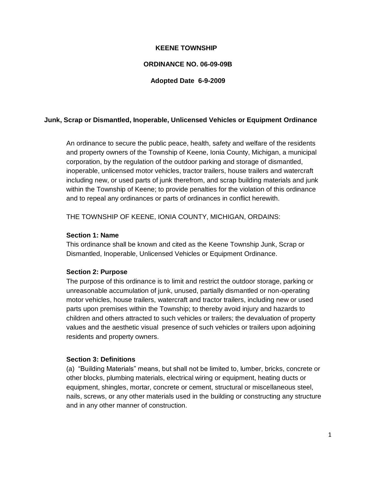# **KEENE TOWNSHIP**

### **ORDINANCE NO. 06-09-09B**

#### **Adopted Date 6-9-2009**

### **Junk, Scrap or Dismantled, Inoperable, Unlicensed Vehicles or Equipment Ordinance**

An ordinance to secure the public peace, health, safety and welfare of the residents and property owners of the Township of Keene, Ionia County, Michigan, a municipal corporation, by the regulation of the outdoor parking and storage of dismantled, inoperable, unlicensed motor vehicles, tractor trailers, house trailers and watercraft including new, or used parts of junk therefrom, and scrap building materials and junk within the Township of Keene; to provide penalties for the violation of this ordinance and to repeal any ordinances or parts of ordinances in conflict herewith.

THE TOWNSHIP OF KEENE, IONIA COUNTY, MICHIGAN, ORDAINS:

#### **Section 1: Name**

This ordinance shall be known and cited as the Keene Township Junk, Scrap or Dismantled, Inoperable, Unlicensed Vehicles or Equipment Ordinance.

#### **Section 2: Purpose**

The purpose of this ordinance is to limit and restrict the outdoor storage, parking or unreasonable accumulation of junk, unused, partially dismantled or non-operating motor vehicles, house trailers, watercraft and tractor trailers, including new or used parts upon premises within the Township; to thereby avoid injury and hazards to children and others attracted to such vehicles or trailers; the devaluation of property values and the aesthetic visual presence of such vehicles or trailers upon adjoining residents and property owners.

#### **Section 3: Definitions**

(a) "Building Materials" means, but shall not be limited to, lumber, bricks, concrete or other blocks, plumbing materials, electrical wiring or equipment, heating ducts or equipment, shingles, mortar, concrete or cement, structural or miscellaneous steel, nails, screws, or any other materials used in the building or constructing any structure and in any other manner of construction.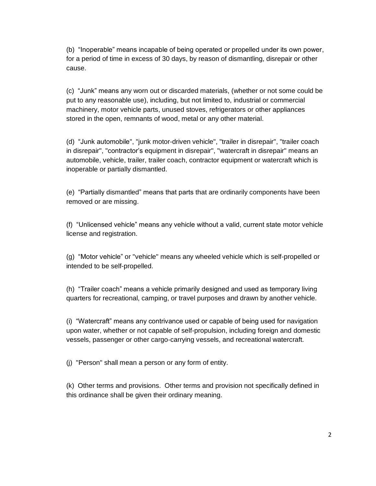(b) "Inoperable" means incapable of being operated or propelled under its own power, for a period of time in excess of 30 days, by reason of dismantling, disrepair or other cause.

(c) "Junk" means any worn out or discarded materials, (whether or not some could be put to any reasonable use), including, but not limited to, industrial or commercial machinery, motor vehicle parts, unused stoves, refrigerators or other appliances stored in the open, remnants of wood, metal or any other material.

(d) "Junk automobile", "junk motor-driven vehicle", "trailer in disrepair", "trailer coach in disrepair", "contractor's equipment in disrepair", "watercraft in disrepair" means an automobile, vehicle, trailer, trailer coach, contractor equipment or watercraft which is inoperable or partially dismantled.

(e) "Partially dismantled" means that parts that are ordinarily components have been removed or are missing.

(f) "Unlicensed vehicle" means any vehicle without a valid, current state motor vehicle license and registration.

(g) "Motor vehicle" or "vehicle" means any wheeled vehicle which is self-propelled or intended to be self-propelled.

(h) "Trailer coach" means a vehicle primarily designed and used as temporary living quarters for recreational, camping, or travel purposes and drawn by another vehicle.

(i) "Watercraft" means any contrivance used or capable of being used for navigation upon water, whether or not capable of self-propulsion, including foreign and domestic vessels, passenger or other cargo-carrying vessels, and recreational watercraft.

(j) "Person" shall mean a person or any form of entity.

(k) Other terms and provisions. Other terms and provision not specifically defined in this ordinance shall be given their ordinary meaning.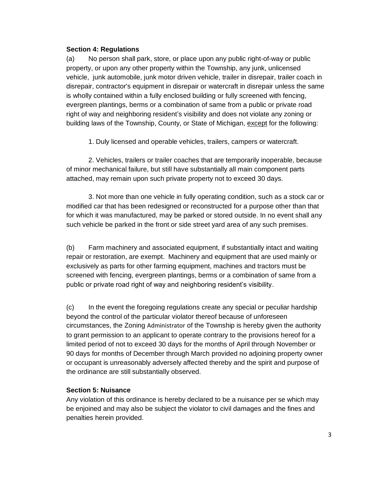### **Section 4: Regulations**

(a) No person shall park, store, or place upon any public right-of-way or public property, or upon any other property within the Township, any junk, unlicensed vehicle, junk automobile, junk motor driven vehicle, trailer in disrepair, trailer coach in disrepair, contractor's equipment in disrepair or watercraft in disrepair unless the same is wholly contained within a fully enclosed building or fully screened with fencing, evergreen plantings, berms or a combination of same from a public or private road right of way and neighboring resident's visibility and does not violate any zoning or building laws of the Township, County, or State of Michigan, except for the following:

1. Duly licensed and operable vehicles, trailers, campers or watercraft.

2. Vehicles, trailers or trailer coaches that are temporarily inoperable, because of minor mechanical failure, but still have substantially all main component parts attached, may remain upon such private property not to exceed 30 days.

3. Not more than one vehicle in fully operating condition, such as a stock car or modified car that has been redesigned or reconstructed for a purpose other than that for which it was manufactured, may be parked or stored outside. In no event shall any such vehicle be parked in the front or side street yard area of any such premises.

(b) Farm machinery and associated equipment, if substantially intact and waiting repair or restoration, are exempt. Machinery and equipment that are used mainly or exclusively as parts for other farming equipment, machines and tractors must be screened with fencing, evergreen plantings, berms or a combination of same from a public or private road right of way and neighboring resident's visibility.

(c) In the event the foregoing regulations create any special or peculiar hardship beyond the control of the particular violator thereof because of unforeseen circumstances, the Zoning Administrator of the Township is hereby given the authority to grant permission to an applicant to operate contrary to the provisions hereof for a limited period of not to exceed 30 days for the months of April through November or 90 days for months of December through March provided no adjoining property owner or occupant is unreasonably adversely affected thereby and the spirit and purpose of the ordinance are still substantially observed.

# **Section 5: Nuisance**

Any violation of this ordinance is hereby declared to be a nuisance per se which may be enjoined and may also be subject the violator to civil damages and the fines and penalties herein provided.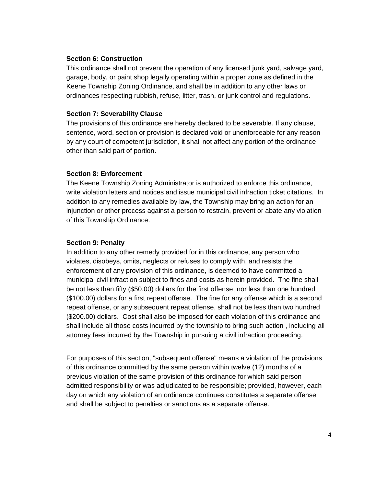#### **Section 6: Construction**

This ordinance shall not prevent the operation of any licensed junk yard, salvage yard, garage, body, or paint shop legally operating within a proper zone as defined in the Keene Township Zoning Ordinance, and shall be in addition to any other laws or ordinances respecting rubbish, refuse, litter, trash, or junk control and regulations.

### **Section 7: Severability Clause**

The provisions of this ordinance are hereby declared to be severable. If any clause, sentence, word, section or provision is declared void or unenforceable for any reason by any court of competent jurisdiction, it shall not affect any portion of the ordinance other than said part of portion.

# **Section 8: Enforcement**

The Keene Township Zoning Administrator is authorized to enforce this ordinance, write violation letters and notices and issue municipal civil infraction ticket citations.In addition to any remedies available by law, the Township may bring an action for an injunction or other process against a person to restrain, prevent or abate any violation of this Township Ordinance.

## **Section 9: Penalty**

In addition to any other remedy provided for in this ordinance, any person who violates, disobeys, omits, neglects or refuses to comply with, and resists the enforcement of any provision of this ordinance, is deemed to have committed a municipal civil infraction subject to fines and costs as herein provided. The fine shall be not less than fifty (\$50.00) dollars for the first offense, nor less than one hundred (\$100.00) dollars for a first repeat offense. The fine for any offense which is a second repeat offense, or any subsequent repeat offense, shall not be less than two hundred (\$200.00) dollars. Cost shall also be imposed for each violation of this ordinance and shall include all those costs incurred by the township to bring such action , including all attorney fees incurred by the Township in pursuing a civil infraction proceeding.

For purposes of this section, "subsequent offense" means a violation of the provisions of this ordinance committed by the same person within twelve (12) months of a previous violation of the same provision of this ordinance for which said person admitted responsibility or was adjudicated to be responsible; provided, however, each day on which any violation of an ordinance continues constitutes a separate offense and shall be subject to penalties or sanctions as a separate offense.